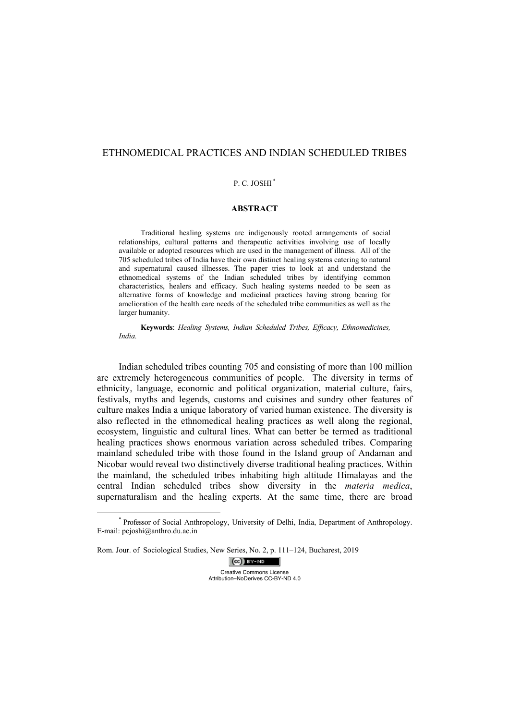# ETHNOMEDICAL PRACTICES AND INDIAN SCHEDULED TRIBES

# P. C. JOSHI<sup>\*</sup>

### **ABSTRACT**

Traditional healing systems are indigenously rooted arrangements of social relationships, cultural patterns and therapeutic activities involving use of locally available or adopted resources which are used in the management of illness. All of the 705 scheduled tribes of India have their own distinct healing systems catering to natural and supernatural caused illnesses. The paper tries to look at and understand the ethnomedical systems of the Indian scheduled tribes by identifying common characteristics, healers and efficacy. Such healing systems needed to be seen as alternative forms of knowledge and medicinal practices having strong bearing for amelioration of the health care needs of the scheduled tribe communities as well as the larger humanity.

**Keywords**: *Healing Systems, Indian Scheduled Tribes, Efficacy, Ethnomedicines, India.*

Indian scheduled tribes counting 705 and consisting of more than 100 million are extremely heterogeneous communities of people. The diversity in terms of ethnicity, language, economic and political organization, material culture, fairs, festivals, myths and legends, customs and cuisines and sundry other features of culture makes India a unique laboratory of varied human existence. The diversity is also reflected in the ethnomedical healing practices as well along the regional, ecosystem, linguistic and cultural lines. What can better be termed as traditional healing practices shows enormous variation across scheduled tribes. Comparing mainland scheduled tribe with those found in the Island group of Andaman and Nicobar would reveal two distinctively diverse traditional healing practices. Within the mainland, the scheduled tribes inhabiting high altitude Himalayas and the central Indian scheduled tribes show diversity in the *materia medica*, supernaturalism and the healing experts. At the same time, there are broad

 $(cc)$  BY-ND Creative Commons License Attribution–NoDerives CC-BY-ND 4.0

 <sup>\*</sup> Professor of Social Anthropology, University of Delhi, India, Department of Anthropology. E-mail: pcjoshi@anthro.du.ac.in

Rom. Jour. of Sociological Studies, New Series, No. 2, p. 111–124, Bucharest, 2019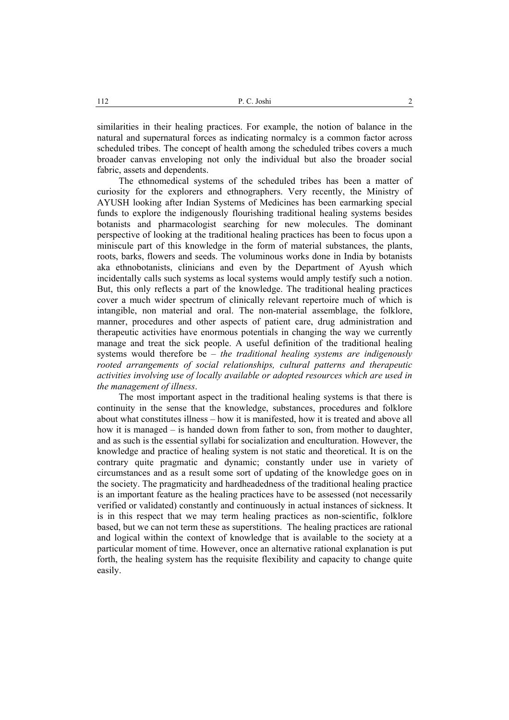similarities in their healing practices. For example, the notion of balance in the natural and supernatural forces as indicating normalcy is a common factor across scheduled tribes. The concept of health among the scheduled tribes covers a much broader canvas enveloping not only the individual but also the broader social fabric, assets and dependents.

The ethnomedical systems of the scheduled tribes has been a matter of curiosity for the explorers and ethnographers. Very recently, the Ministry of AYUSH looking after Indian Systems of Medicines has been earmarking special funds to explore the indigenously flourishing traditional healing systems besides botanists and pharmacologist searching for new molecules. The dominant perspective of looking at the traditional healing practices has been to focus upon a miniscule part of this knowledge in the form of material substances, the plants, roots, barks, flowers and seeds. The voluminous works done in India by botanists aka ethnobotanists, clinicians and even by the Department of Ayush which incidentally calls such systems as local systems would amply testify such a notion. But, this only reflects a part of the knowledge. The traditional healing practices cover a much wider spectrum of clinically relevant repertoire much of which is intangible, non material and oral. The non-material assemblage, the folklore, manner, procedures and other aspects of patient care, drug administration and therapeutic activities have enormous potentials in changing the way we currently manage and treat the sick people. A useful definition of the traditional healing systems would therefore be – *the traditional healing systems are indigenously rooted arrangements of social relationships, cultural patterns and therapeutic activities involving use of locally available or adopted resources which are used in the management of illness*.

The most important aspect in the traditional healing systems is that there is continuity in the sense that the knowledge, substances, procedures and folklore about what constitutes illness – how it is manifested, how it is treated and above all how it is managed – is handed down from father to son, from mother to daughter, and as such is the essential syllabi for socialization and enculturation. However, the knowledge and practice of healing system is not static and theoretical. It is on the contrary quite pragmatic and dynamic; constantly under use in variety of circumstances and as a result some sort of updating of the knowledge goes on in the society. The pragmaticity and hardheadedness of the traditional healing practice is an important feature as the healing practices have to be assessed (not necessarily verified or validated) constantly and continuously in actual instances of sickness. It is in this respect that we may term healing practices as non-scientific, folklore based, but we can not term these as superstitions. The healing practices are rational and logical within the context of knowledge that is available to the society at a particular moment of time. However, once an alternative rational explanation is put forth, the healing system has the requisite flexibility and capacity to change quite easily.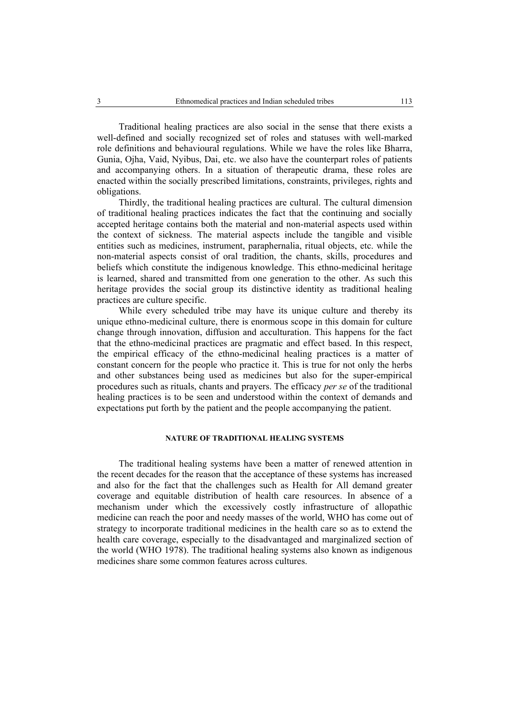Traditional healing practices are also social in the sense that there exists a well-defined and socially recognized set of roles and statuses with well-marked role definitions and behavioural regulations. While we have the roles like Bharra, Gunia, Ojha, Vaid, Nyibus, Dai, etc. we also have the counterpart roles of patients and accompanying others. In a situation of therapeutic drama, these roles are enacted within the socially prescribed limitations, constraints, privileges, rights and obligations.

Thirdly, the traditional healing practices are cultural. The cultural dimension of traditional healing practices indicates the fact that the continuing and socially accepted heritage contains both the material and non-material aspects used within the context of sickness. The material aspects include the tangible and visible entities such as medicines, instrument, paraphernalia, ritual objects, etc. while the non-material aspects consist of oral tradition, the chants, skills, procedures and beliefs which constitute the indigenous knowledge. This ethno-medicinal heritage is learned, shared and transmitted from one generation to the other. As such this heritage provides the social group its distinctive identity as traditional healing practices are culture specific.

While every scheduled tribe may have its unique culture and thereby its unique ethno-medicinal culture, there is enormous scope in this domain for culture change through innovation, diffusion and acculturation. This happens for the fact that the ethno-medicinal practices are pragmatic and effect based. In this respect, the empirical efficacy of the ethno-medicinal healing practices is a matter of constant concern for the people who practice it. This is true for not only the herbs and other substances being used as medicines but also for the super-empirical procedures such as rituals, chants and prayers. The efficacy *per se* of the traditional healing practices is to be seen and understood within the context of demands and expectations put forth by the patient and the people accompanying the patient.

# **NATURE OF TRADITIONAL HEALING SYSTEMS**

The traditional healing systems have been a matter of renewed attention in the recent decades for the reason that the acceptance of these systems has increased and also for the fact that the challenges such as Health for All demand greater coverage and equitable distribution of health care resources. In absence of a mechanism under which the excessively costly infrastructure of allopathic medicine can reach the poor and needy masses of the world, WHO has come out of strategy to incorporate traditional medicines in the health care so as to extend the health care coverage, especially to the disadvantaged and marginalized section of the world (WHO 1978). The traditional healing systems also known as indigenous medicines share some common features across cultures.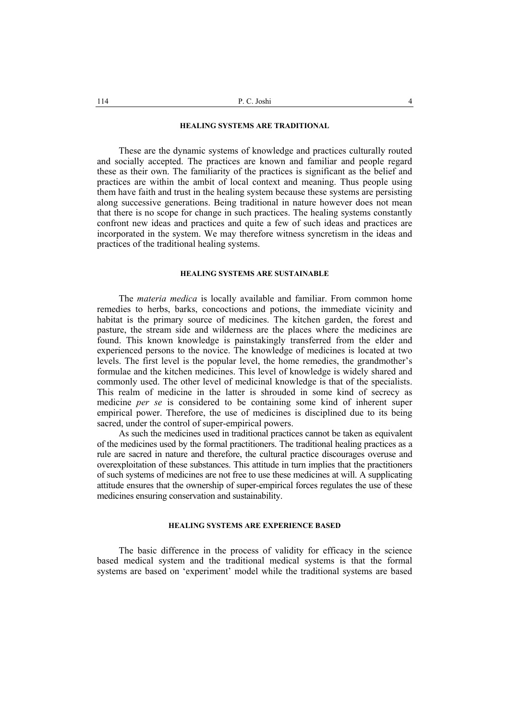### **HEALING SYSTEMS ARE TRADITIONAL**

These are the dynamic systems of knowledge and practices culturally routed and socially accepted. The practices are known and familiar and people regard these as their own. The familiarity of the practices is significant as the belief and practices are within the ambit of local context and meaning. Thus people using them have faith and trust in the healing system because these systems are persisting along successive generations. Being traditional in nature however does not mean that there is no scope for change in such practices. The healing systems constantly confront new ideas and practices and quite a few of such ideas and practices are incorporated in the system. We may therefore witness syncretism in the ideas and practices of the traditional healing systems.

### **HEALING SYSTEMS ARE SUSTAINABLE**

The *materia medica* is locally available and familiar. From common home remedies to herbs, barks, concoctions and potions, the immediate vicinity and habitat is the primary source of medicines. The kitchen garden, the forest and pasture, the stream side and wilderness are the places where the medicines are found. This known knowledge is painstakingly transferred from the elder and experienced persons to the novice. The knowledge of medicines is located at two levels. The first level is the popular level, the home remedies, the grandmother's formulae and the kitchen medicines. This level of knowledge is widely shared and commonly used. The other level of medicinal knowledge is that of the specialists. This realm of medicine in the latter is shrouded in some kind of secrecy as medicine *per se* is considered to be containing some kind of inherent super empirical power. Therefore, the use of medicines is disciplined due to its being sacred, under the control of super-empirical powers.

As such the medicines used in traditional practices cannot be taken as equivalent of the medicines used by the formal practitioners. The traditional healing practices as a rule are sacred in nature and therefore, the cultural practice discourages overuse and overexploitation of these substances. This attitude in turn implies that the practitioners of such systems of medicines are not free to use these medicines at will. A supplicating attitude ensures that the ownership of super-empirical forces regulates the use of these medicines ensuring conservation and sustainability.

### **HEALING SYSTEMS ARE EXPERIENCE BASED**

The basic difference in the process of validity for efficacy in the science based medical system and the traditional medical systems is that the formal systems are based on 'experiment' model while the traditional systems are based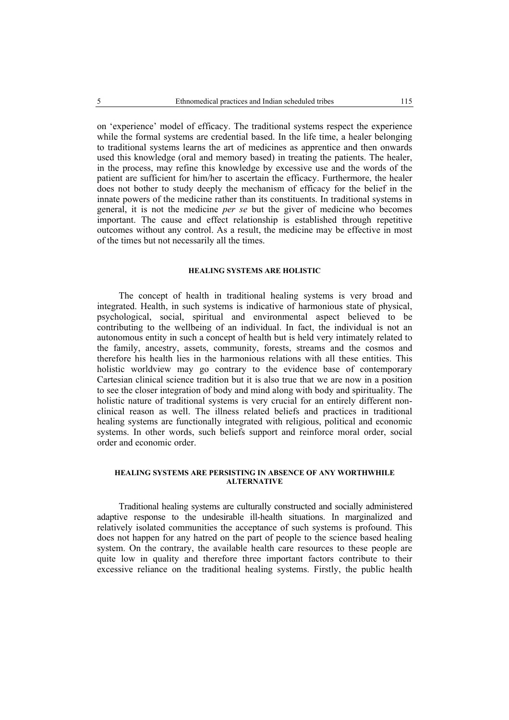on 'experience' model of efficacy. The traditional systems respect the experience while the formal systems are credential based. In the life time, a healer belonging to traditional systems learns the art of medicines as apprentice and then onwards used this knowledge (oral and memory based) in treating the patients. The healer, in the process, may refine this knowledge by excessive use and the words of the patient are sufficient for him/her to ascertain the efficacy. Furthermore, the healer does not bother to study deeply the mechanism of efficacy for the belief in the innate powers of the medicine rather than its constituents. In traditional systems in general, it is not the medicine *per se* but the giver of medicine who becomes important. The cause and effect relationship is established through repetitive outcomes without any control. As a result, the medicine may be effective in most of the times but not necessarily all the times.

### **HEALING SYSTEMS ARE HOLISTIC**

The concept of health in traditional healing systems is very broad and integrated. Health, in such systems is indicative of harmonious state of physical, psychological, social, spiritual and environmental aspect believed to be contributing to the wellbeing of an individual. In fact, the individual is not an autonomous entity in such a concept of health but is held very intimately related to the family, ancestry, assets, community, forests, streams and the cosmos and therefore his health lies in the harmonious relations with all these entities. This holistic worldview may go contrary to the evidence base of contemporary Cartesian clinical science tradition but it is also true that we are now in a position to see the closer integration of body and mind along with body and spirituality. The holistic nature of traditional systems is very crucial for an entirely different nonclinical reason as well. The illness related beliefs and practices in traditional healing systems are functionally integrated with religious, political and economic systems. In other words, such beliefs support and reinforce moral order, social order and economic order.

# **HEALING SYSTEMS ARE PERSISTING IN ABSENCE OF ANY WORTHWHILE ALTERNATIVE**

Traditional healing systems are culturally constructed and socially administered adaptive response to the undesirable ill-health situations. In marginalized and relatively isolated communities the acceptance of such systems is profound. This does not happen for any hatred on the part of people to the science based healing system. On the contrary, the available health care resources to these people are quite low in quality and therefore three important factors contribute to their excessive reliance on the traditional healing systems. Firstly, the public health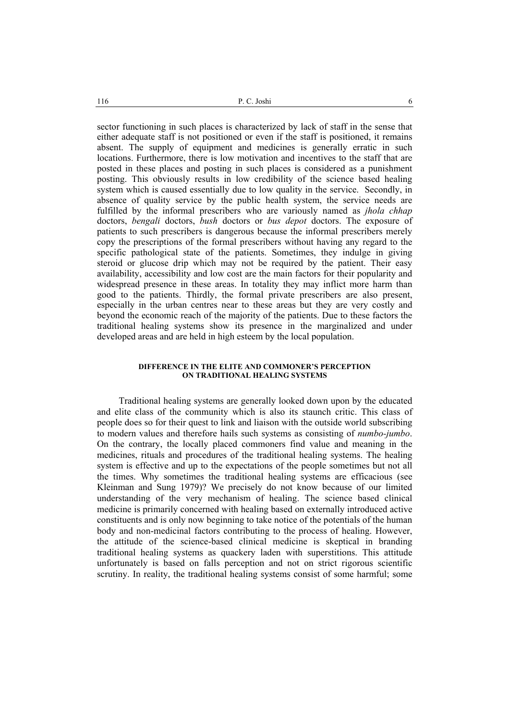sector functioning in such places is characterized by lack of staff in the sense that either adequate staff is not positioned or even if the staff is positioned, it remains absent. The supply of equipment and medicines is generally erratic in such locations. Furthermore, there is low motivation and incentives to the staff that are posted in these places and posting in such places is considered as a punishment posting. This obviously results in low credibility of the science based healing system which is caused essentially due to low quality in the service. Secondly, in absence of quality service by the public health system, the service needs are fulfilled by the informal prescribers who are variously named as *jhola chhap* doctors, *bengali* doctors, *bush* doctors or *bus depot* doctors. The exposure of patients to such prescribers is dangerous because the informal prescribers merely copy the prescriptions of the formal prescribers without having any regard to the specific pathological state of the patients. Sometimes, they indulge in giving steroid or glucose drip which may not be required by the patient. Their easy availability, accessibility and low cost are the main factors for their popularity and widespread presence in these areas. In totality they may inflict more harm than good to the patients. Thirdly, the formal private prescribers are also present, especially in the urban centres near to these areas but they are very costly and beyond the economic reach of the majority of the patients. Due to these factors the traditional healing systems show its presence in the marginalized and under developed areas and are held in high esteem by the local population.

### **DIFFERENCE IN THE ELITE AND COMMONER'S PERCEPTION ON TRADITIONAL HEALING SYSTEMS**

Traditional healing systems are generally looked down upon by the educated and elite class of the community which is also its staunch critic. This class of people does so for their quest to link and liaison with the outside world subscribing to modern values and therefore hails such systems as consisting of *numbo-jumbo*. On the contrary, the locally placed commoners find value and meaning in the medicines, rituals and procedures of the traditional healing systems. The healing system is effective and up to the expectations of the people sometimes but not all the times. Why sometimes the traditional healing systems are efficacious (see Kleinman and Sung 1979)? We precisely do not know because of our limited understanding of the very mechanism of healing. The science based clinical medicine is primarily concerned with healing based on externally introduced active constituents and is only now beginning to take notice of the potentials of the human body and non-medicinal factors contributing to the process of healing. However, the attitude of the science-based clinical medicine is skeptical in branding traditional healing systems as quackery laden with superstitions. This attitude unfortunately is based on falls perception and not on strict rigorous scientific scrutiny. In reality, the traditional healing systems consist of some harmful; some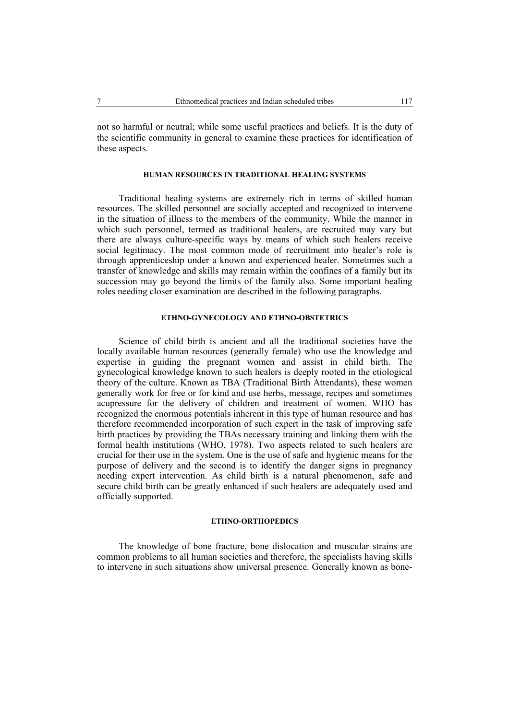not so harmful or neutral; while some useful practices and beliefs. It is the duty of the scientific community in general to examine these practices for identification of these aspects.

# **HUMAN RESOURCES IN TRADITIONAL HEALING SYSTEMS**

Traditional healing systems are extremely rich in terms of skilled human resources. The skilled personnel are socially accepted and recognized to intervene in the situation of illness to the members of the community. While the manner in which such personnel, termed as traditional healers, are recruited may vary but there are always culture-specific ways by means of which such healers receive social legitimacy. The most common mode of recruitment into healer's role is through apprenticeship under a known and experienced healer. Sometimes such a transfer of knowledge and skills may remain within the confines of a family but its succession may go beyond the limits of the family also. Some important healing roles needing closer examination are described in the following paragraphs.

# **ETHNO-GYNECOLOGY AND ETHNO-OBSTETRICS**

Science of child birth is ancient and all the traditional societies have the locally available human resources (generally female) who use the knowledge and expertise in guiding the pregnant women and assist in child birth. The gynecological knowledge known to such healers is deeply rooted in the etiological theory of the culture. Known as TBA (Traditional Birth Attendants), these women generally work for free or for kind and use herbs, message, recipes and sometimes acupressure for the delivery of children and treatment of women. WHO has recognized the enormous potentials inherent in this type of human resource and has therefore recommended incorporation of such expert in the task of improving safe birth practices by providing the TBAs necessary training and linking them with the formal health institutions (WHO, 1978). Two aspects related to such healers are crucial for their use in the system. One is the use of safe and hygienic means for the purpose of delivery and the second is to identify the danger signs in pregnancy needing expert intervention. As child birth is a natural phenomenon, safe and secure child birth can be greatly enhanced if such healers are adequately used and officially supported.

# **ETHNO-ORTHOPEDICS**

The knowledge of bone fracture, bone dislocation and muscular strains are common problems to all human societies and therefore, the specialists having skills to intervene in such situations show universal presence. Generally known as bone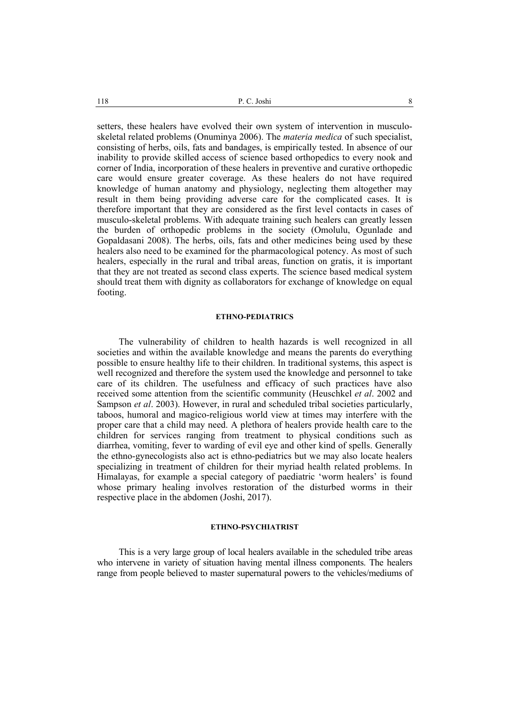setters, these healers have evolved their own system of intervention in musculoskeletal related problems (Onuminya 2006). The *materia medica* of such specialist, consisting of herbs, oils, fats and bandages, is empirically tested. In absence of our inability to provide skilled access of science based orthopedics to every nook and corner of India, incorporation of these healers in preventive and curative orthopedic care would ensure greater coverage. As these healers do not have required knowledge of human anatomy and physiology, neglecting them altogether may result in them being providing adverse care for the complicated cases. It is therefore important that they are considered as the first level contacts in cases of musculo-skeletal problems. With adequate training such healers can greatly lessen the burden of orthopedic problems in the society (Omolulu, Ogunlade and Gopaldasani 2008). The herbs, oils, fats and other medicines being used by these healers also need to be examined for the pharmacological potency. As most of such healers, especially in the rural and tribal areas, function on gratis, it is important that they are not treated as second class experts. The science based medical system should treat them with dignity as collaborators for exchange of knowledge on equal footing.

#### **ETHNO-PEDIATRICS**

The vulnerability of children to health hazards is well recognized in all societies and within the available knowledge and means the parents do everything possible to ensure healthy life to their children. In traditional systems, this aspect is well recognized and therefore the system used the knowledge and personnel to take care of its children. The usefulness and efficacy of such practices have also received some attention from the scientific community (Heuschkel *et al*. 2002 and Sampson *et al*. 2003). However, in rural and scheduled tribal societies particularly, taboos, humoral and magico-religious world view at times may interfere with the proper care that a child may need. A plethora of healers provide health care to the children for services ranging from treatment to physical conditions such as diarrhea, vomiting, fever to warding of evil eye and other kind of spells. Generally the ethno-gynecologists also act is ethno-pediatrics but we may also locate healers specializing in treatment of children for their myriad health related problems. In Himalayas, for example a special category of paediatric 'worm healers' is found whose primary healing involves restoration of the disturbed worms in their respective place in the abdomen (Joshi, 2017).

#### **ETHNO-PSYCHIATRIST**

This is a very large group of local healers available in the scheduled tribe areas who intervene in variety of situation having mental illness components. The healers range from people believed to master supernatural powers to the vehicles/mediums of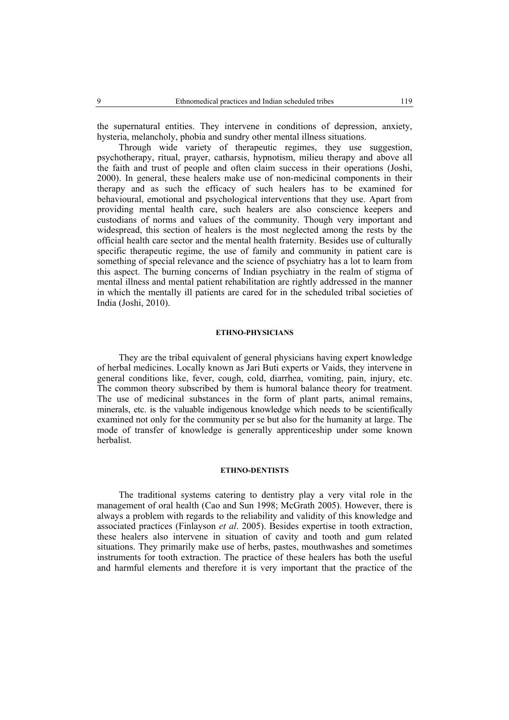the supernatural entities. They intervene in conditions of depression, anxiety, hysteria, melancholy, phobia and sundry other mental illness situations.

Through wide variety of therapeutic regimes, they use suggestion, psychotherapy, ritual, prayer, catharsis, hypnotism, milieu therapy and above all the faith and trust of people and often claim success in their operations (Joshi, 2000). In general, these healers make use of non-medicinal components in their therapy and as such the efficacy of such healers has to be examined for behavioural, emotional and psychological interventions that they use. Apart from providing mental health care, such healers are also conscience keepers and custodians of norms and values of the community. Though very important and widespread, this section of healers is the most neglected among the rests by the official health care sector and the mental health fraternity. Besides use of culturally specific therapeutic regime, the use of family and community in patient care is something of special relevance and the science of psychiatry has a lot to learn from this aspect. The burning concerns of Indian psychiatry in the realm of stigma of mental illness and mental patient rehabilitation are rightly addressed in the manner in which the mentally ill patients are cared for in the scheduled tribal societies of India (Joshi, 2010).

#### **ETHNO-PHYSICIANS**

They are the tribal equivalent of general physicians having expert knowledge of herbal medicines. Locally known as Jari Buti experts or Vaids, they intervene in general conditions like, fever, cough, cold, diarrhea, vomiting, pain, injury, etc. The common theory subscribed by them is humoral balance theory for treatment. The use of medicinal substances in the form of plant parts, animal remains, minerals, etc. is the valuable indigenous knowledge which needs to be scientifically examined not only for the community per se but also for the humanity at large. The mode of transfer of knowledge is generally apprenticeship under some known herbalist.

#### **ETHNO-DENTISTS**

The traditional systems catering to dentistry play a very vital role in the management of oral health (Cao and Sun 1998; McGrath 2005). However, there is always a problem with regards to the reliability and validity of this knowledge and associated practices (Finlayson *et al*. 2005). Besides expertise in tooth extraction, these healers also intervene in situation of cavity and tooth and gum related situations. They primarily make use of herbs, pastes, mouthwashes and sometimes instruments for tooth extraction. The practice of these healers has both the useful and harmful elements and therefore it is very important that the practice of the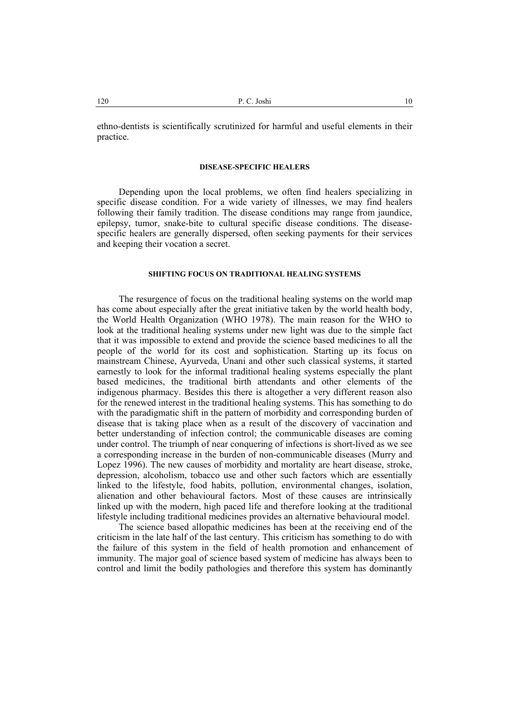ethno-dentists is scientifically scrutinized for harmful and useful elements in their practice.

#### **DISEASE-SPECIFIC HEALERS**

Depending upon the local problems, we often find healers specializing in specific disease condition. For a wide variety of illnesses, we may find healers following their family tradition. The disease conditions may range from jaundice, epilepsy, tumor, snake-bite to cultural specific disease conditions. The diseasespecific healers are generally dispersed, often seeking payments for their services and keeping their vocation a secret.

### **SHIFTING FOCUS ON TRADITIONAL HEALING SYSTEMS**

The resurgence of focus on the traditional healing systems on the world map has come about especially after the great initiative taken by the world health body, the World Health Organization (WHO 1978). The main reason for the WHO to look at the traditional healing systems under new light was due to the simple fact that it was impossible to extend and provide the science based medicines to all the people of the world for its cost and sophistication. Starting up its focus on mainstream Chinese, Ayurveda, Unani and other such classical systems, it started earnestly to look for the informal traditional healing systems especially the plant based medicines, the traditional birth attendants and other elements of the indigenous pharmacy. Besides this there is altogether a very different reason also for the renewed interest in the traditional healing systems. This has something to do with the paradigmatic shift in the pattern of morbidity and corresponding burden of disease that is taking place when as a result of the discovery of vaccination and better understanding of infection control; the communicable diseases are coming under control. The triumph of near conquering of infections is short-lived as we see a corresponding increase in the burden of non-communicable diseases (Murry and Lopez 1996). The new causes of morbidity and mortality are heart disease, stroke, depression, alcoholism, tobacco use and other such factors which are essentially linked to the lifestyle, food habits, pollution, environmental changes, isolation, alienation and other behavioural factors. Most of these causes are intrinsically linked up with the modern, high paced life and therefore looking at the traditional lifestyle including traditional medicines provides an alternative behavioural model.

The science based allopathic medicines has been at the receiving end of the criticism in the late half of the last century. This criticism has something to do with the failure of this system in the field of health promotion and enhancement of immunity. The major goal of science based system of medicine has always been to control and limit the bodily pathologies and therefore this system has dominantly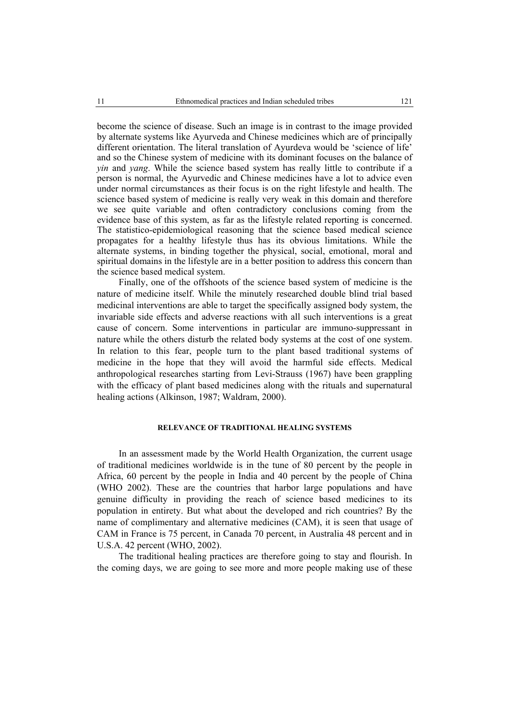become the science of disease. Such an image is in contrast to the image provided by alternate systems like Ayurveda and Chinese medicines which are of principally different orientation. The literal translation of Ayurdeva would be 'science of life' and so the Chinese system of medicine with its dominant focuses on the balance of *yin* and *yang*. While the science based system has really little to contribute if a person is normal, the Ayurvedic and Chinese medicines have a lot to advice even under normal circumstances as their focus is on the right lifestyle and health. The science based system of medicine is really very weak in this domain and therefore we see quite variable and often contradictory conclusions coming from the evidence base of this system, as far as the lifestyle related reporting is concerned. The statistico-epidemiological reasoning that the science based medical science propagates for a healthy lifestyle thus has its obvious limitations. While the alternate systems, in binding together the physical, social, emotional, moral and spiritual domains in the lifestyle are in a better position to address this concern than the science based medical system.

Finally, one of the offshoots of the science based system of medicine is the nature of medicine itself. While the minutely researched double blind trial based medicinal interventions are able to target the specifically assigned body system, the invariable side effects and adverse reactions with all such interventions is a great cause of concern. Some interventions in particular are immuno-suppressant in nature while the others disturb the related body systems at the cost of one system. In relation to this fear, people turn to the plant based traditional systems of medicine in the hope that they will avoid the harmful side effects. Medical anthropological researches starting from Levi-Strauss (1967) have been grappling with the efficacy of plant based medicines along with the rituals and supernatural healing actions (Alkinson, 1987; Waldram, 2000).

# **RELEVANCE OF TRADITIONAL HEALING SYSTEMS**

In an assessment made by the World Health Organization, the current usage of traditional medicines worldwide is in the tune of 80 percent by the people in Africa, 60 percent by the people in India and 40 percent by the people of China (WHO 2002). These are the countries that harbor large populations and have genuine difficulty in providing the reach of science based medicines to its population in entirety. But what about the developed and rich countries? By the name of complimentary and alternative medicines (CAM), it is seen that usage of CAM in France is 75 percent, in Canada 70 percent, in Australia 48 percent and in U.S.A. 42 percent (WHO, 2002).

The traditional healing practices are therefore going to stay and flourish. In the coming days, we are going to see more and more people making use of these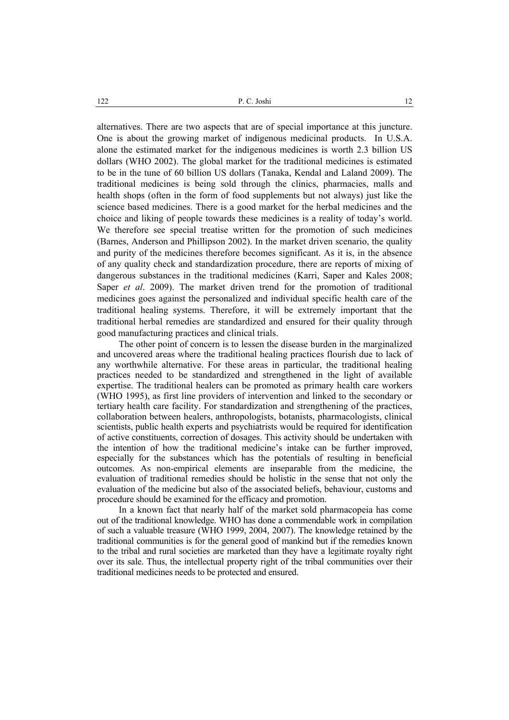alternatives. There are two aspects that are of special importance at this juncture. One is about the growing market of indigenous medicinal products. In U.S.A. alone the estimated market for the indigenous medicines is worth 2.3 billion US dollars (WHO 2002). The global market for the traditional medicines is estimated to be in the tune of 60 billion US dollars (Tanaka, Kendal and Laland 2009). The traditional medicines is being sold through the clinics, pharmacies, malls and health shops (often in the form of food supplements but not always) just like the science based medicines. There is a good market for the herbal medicines and the choice and liking of people towards these medicines is a reality of today's world. We therefore see special treatise written for the promotion of such medicines (Barnes, Anderson and Phillipson 2002). In the market driven scenario, the quality and purity of the medicines therefore becomes significant. As it is, in the absence of any quality check and standardization procedure, there are reports of mixing of dangerous substances in the traditional medicines (Karri, Saper and Kales 2008; Saper *et al*. 2009). The market driven trend for the promotion of traditional medicines goes against the personalized and individual specific health care of the traditional healing systems. Therefore, it will be extremely important that the traditional herbal remedies are standardized and ensured for their quality through good manufacturing practices and clinical trials.

The other point of concern is to lessen the disease burden in the marginalized and uncovered areas where the traditional healing practices flourish due to lack of any worthwhile alternative. For these areas in particular, the traditional healing practices needed to be standardized and strengthened in the light of available expertise. The traditional healers can be promoted as primary health care workers (WHO 1995), as first line providers of intervention and linked to the secondary or tertiary health care facility. For standardization and strengthening of the practices, collaboration between healers, anthropologists, botanists, pharmacologists, clinical scientists, public health experts and psychiatrists would be required for identification of active constituents, correction of dosages. This activity should be undertaken with the intention of how the traditional medicine's intake can be further improved, especially for the substances which has the potentials of resulting in beneficial outcomes. As non-empirical elements are inseparable from the medicine, the evaluation of traditional remedies should be holistic in the sense that not only the evaluation of the medicine but also of the associated beliefs, behaviour, customs and procedure should be examined for the efficacy and promotion.

In a known fact that nearly half of the market sold pharmacopeia has come out of the traditional knowledge. WHO has done a commendable work in compilation of such a valuable treasure (WHO 1999, 2004, 2007). The knowledge retained by the traditional communities is for the general good of mankind but if the remedies known to the tribal and rural societies are marketed than they have a legitimate royalty right over its sale. Thus, the intellectual property right of the tribal communities over their traditional medicines needs to be protected and ensured.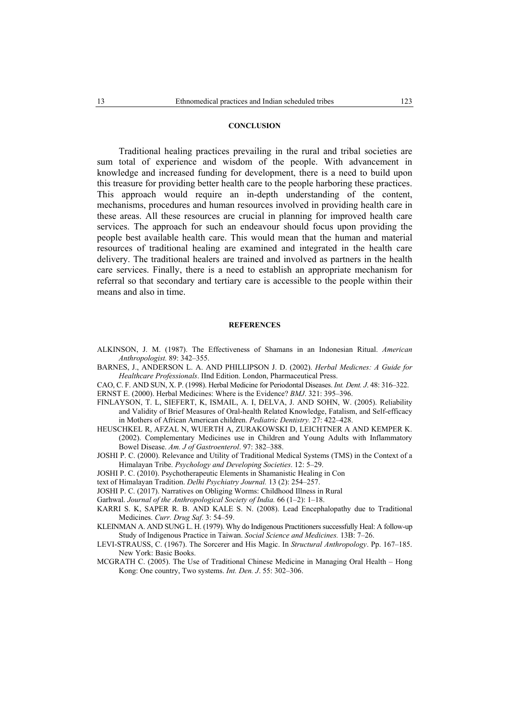#### **CONCLUSION**

Traditional healing practices prevailing in the rural and tribal societies are sum total of experience and wisdom of the people. With advancement in knowledge and increased funding for development, there is a need to build upon this treasure for providing better health care to the people harboring these practices. This approach would require an in-depth understanding of the content, mechanisms, procedures and human resources involved in providing health care in these areas. All these resources are crucial in planning for improved health care services. The approach for such an endeavour should focus upon providing the people best available health care. This would mean that the human and material resources of traditional healing are examined and integrated in the health care delivery. The traditional healers are trained and involved as partners in the health care services. Finally, there is a need to establish an appropriate mechanism for referral so that secondary and tertiary care is accessible to the people within their means and also in time.

#### **REFERENCES**

- ALKINSON, J. M. (1987). The Effectiveness of Shamans in an Indonesian Ritual. *American Anthropologist.* 89: 342–355.
- BARNES, J., ANDERSON L. A. AND PHILLIPSON J. D. (2002). *Herbal Medicnes: A Guide for Healthcare Professionals*. IInd Edition. London, Pharmaceutical Press.
- CAO, C. F. AND SUN, X. P. (1998). Herbal Medicine for Periodontal Diseases. *Int. Dent. J*. 48: 316–322.
- ERNST E. (2000). Herbal Medicines: Where is the Evidence? *BMJ*. 321: 395–396.
- FINLAYSON, T. L, SIEFERT, K, ISMAIL, A. I, DELVA, J. AND SOHN, W. (2005). Reliability and Validity of Brief Measures of Oral-health Related Knowledge, Fatalism, and Self-efficacy in Mothers of African American children. *Pediatric Dentistry.* 27: 422–428.
- HEUSCHKEL R, AFZAL N, WUERTH A, ZURAKOWSKI D, LEICHTNER A AND KEMPER K. (2002). Complementary Medicines use in Children and Young Adults with Inflammatory Bowel Disease. *Am. J of Gastroenterol*. 97: 382–388.
- JOSHI P. C. (2000). Relevance and Utility of Traditional Medical Systems (TMS) in the Context of a Himalayan Tribe. *Psychology and Developing Societies*. 12: 5–29.
- JOSHI P. C. (2010). Psychotherapeutic Elements in Shamanistic Healing in Con
- text of Himalayan Tradition. *Delhi Psychiatry Journal.* 13 (2): 254–257.
- JOSHI P. C. (2017). Narratives on Obliging Worms: Childhood Illness in Rural
- Garhwal. *Journal of the Anthropological Society of India.* 66 (1–2): 1–18.
- KARRI S. K, SAPER R. B. AND KALE S. N. (2008). Lead Encephalopathy due to Traditional Medicines. *Curr. Drug Saf*. 3: 54–59.
- KLEINMAN A. AND SUNG L. H. (1979). Why do Indigenous Practitioners successfully Heal: A follow-up Study of Indigenous Practice in Taiwan. *Social Science and Medicines.* 13B: 7–26.
- LEVI-STRAUSS, C. (1967). The Sorcerer and His Magic. In *Structural Anthropology*. Pp. 167–185. New York: Basic Books.
- MCGRATH C. (2005). The Use of Traditional Chinese Medicine in Managing Oral Health Hong Kong: One country, Two systems. *Int. Den. J*. 55: 302–306.